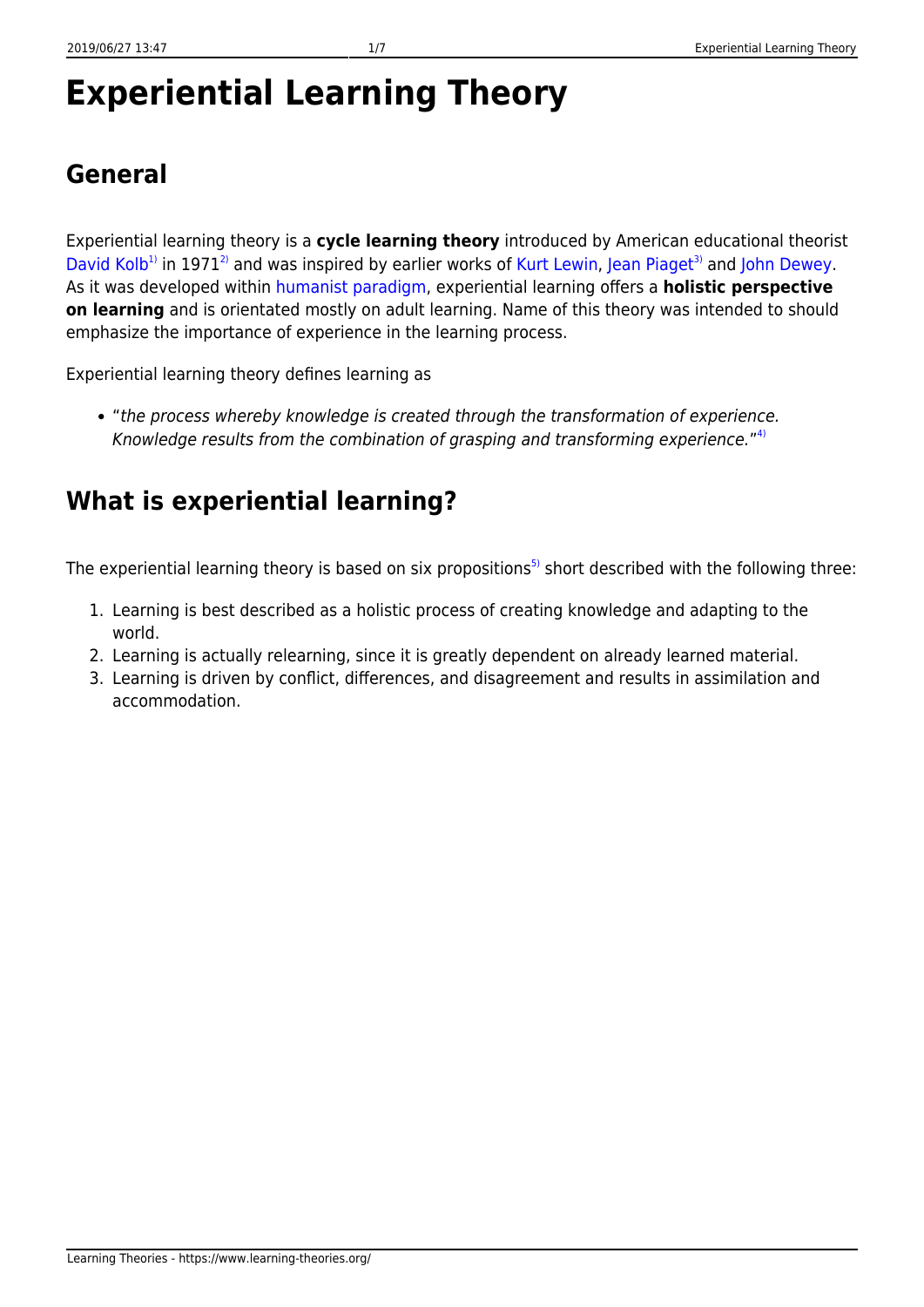# **Experiential Learning Theory**

## **General**

Experiential learning theory is a **cycle learning theory** introduced by American educational theorist [David Kolb](http://infed.org/mobi/david-a-kolb-on-experiential-learning/)<sup>[1\)](#page--1-0)</sup> in 1971<sup>[2\)](#page--1-0)</sup> and was inspired by earlier works of [Kurt Lewin](http://www.muskingum.edu/~psych/psycweb/history/lewin.htm), [Jean Piaget](http://www.piaget.org/aboutPiaget.html)<sup>[3\)](#page--1-0)</sup> and [John Dewey](http://dewey.pragmatism.org/). As it was developed within [humanist paradigm,](https://www.learning-theories.org/doku.php?id=learning_paradigms:humanism) experiential learning offers a **holistic perspective on learning** and is orientated mostly on adult learning. Name of this theory was intended to should emphasize the importance of experience in the learning process.

Experiential learning theory defines learning as

"the process whereby knowledge is created through the transformation of experience. Knowledge results from the combination of grasping and transforming experience."<sup>[4\)](#page--1-0)</sup>

#### **What is experiential learning?**

The experiential learning theory is based on six propositions<sup>[5\)](#page--1-0)</sup> short described with the following three:

- 1. Learning is best described as a holistic process of creating knowledge and adapting to the world.
- 2. Learning is actually relearning, since it is greatly dependent on already learned material.
- 3. Learning is driven by conflict, differences, and disagreement and results in assimilation and accommodation.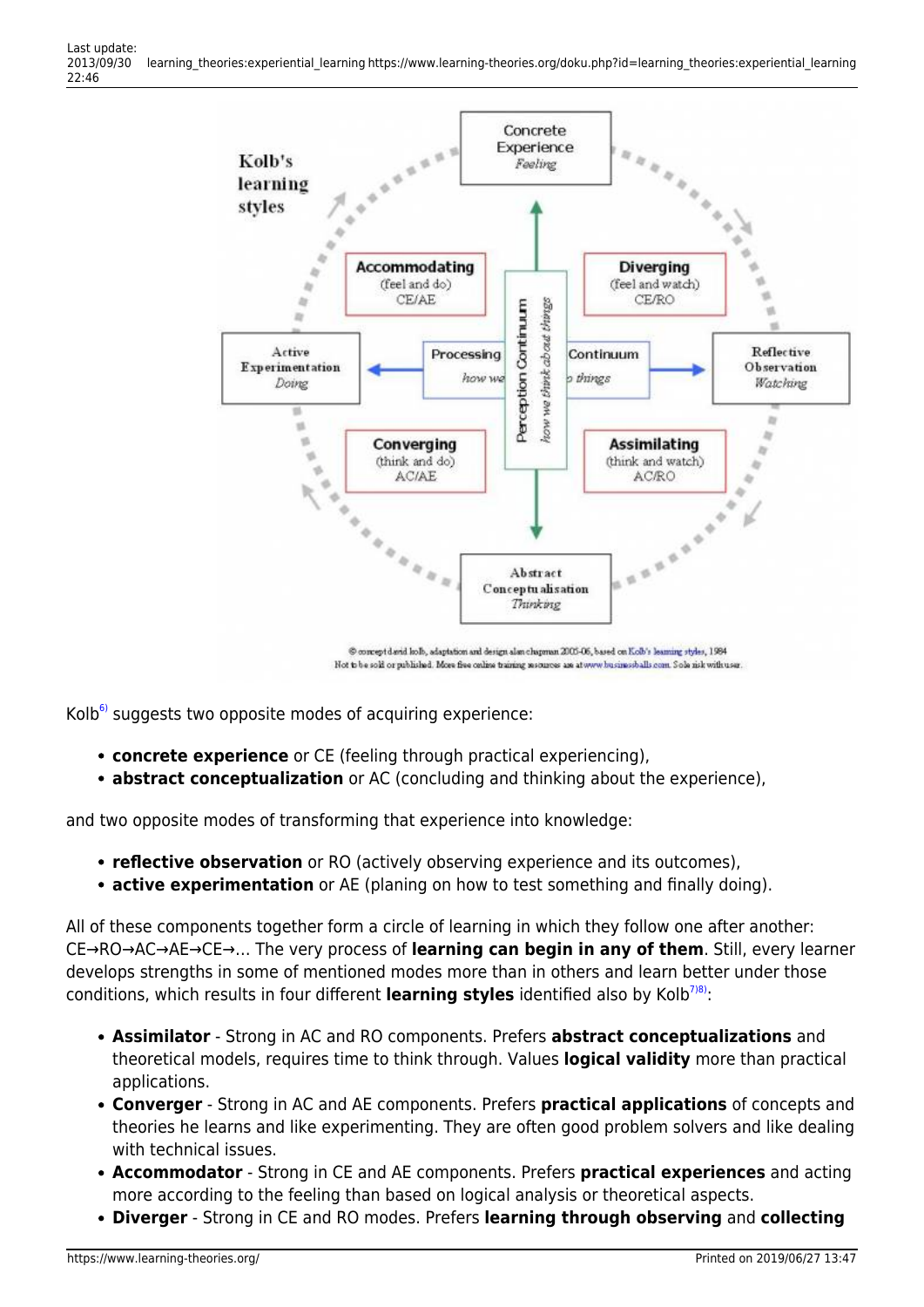

 $Kolb<sup>6</sup>$  suggests two opposite modes of acquiring experience:

- **concrete experience** or CE (feeling through practical experiencing),
- **abstract conceptualization** or AC (concluding and thinking about the experience),

and two opposite modes of transforming that experience into knowledge:

- **reflective observation** or RO (actively observing experience and its outcomes),
- **active experimentation** or AE (planing on how to test something and finally doing).

All of these components together form a circle of learning in which they follow one after another: CE→RO→AC→AE→CE→… The very process of **learning can begin in any of them**. Still, every learner develops strengths in some of mentioned modes more than in others and learn better under those conditions, which results in four different **learning styles** identified also by Kolb<sup>[7\)8\)](#page--1-0)</sup>:

- **Assimilator** Strong in AC and RO components. Prefers **abstract conceptualizations** and theoretical models, requires time to think through. Values **logical validity** more than practical applications.
- **Converger** Strong in AC and AE components. Prefers **practical applications** of concepts and theories he learns and like experimenting. They are often good problem solvers and like dealing with technical issues.
- **Accommodator** Strong in CE and AE components. Prefers **practical experiences** and acting more according to the feeling than based on logical analysis or theoretical aspects.
- **Diverger** Strong in CE and RO modes. Prefers **learning through observing** and **collecting**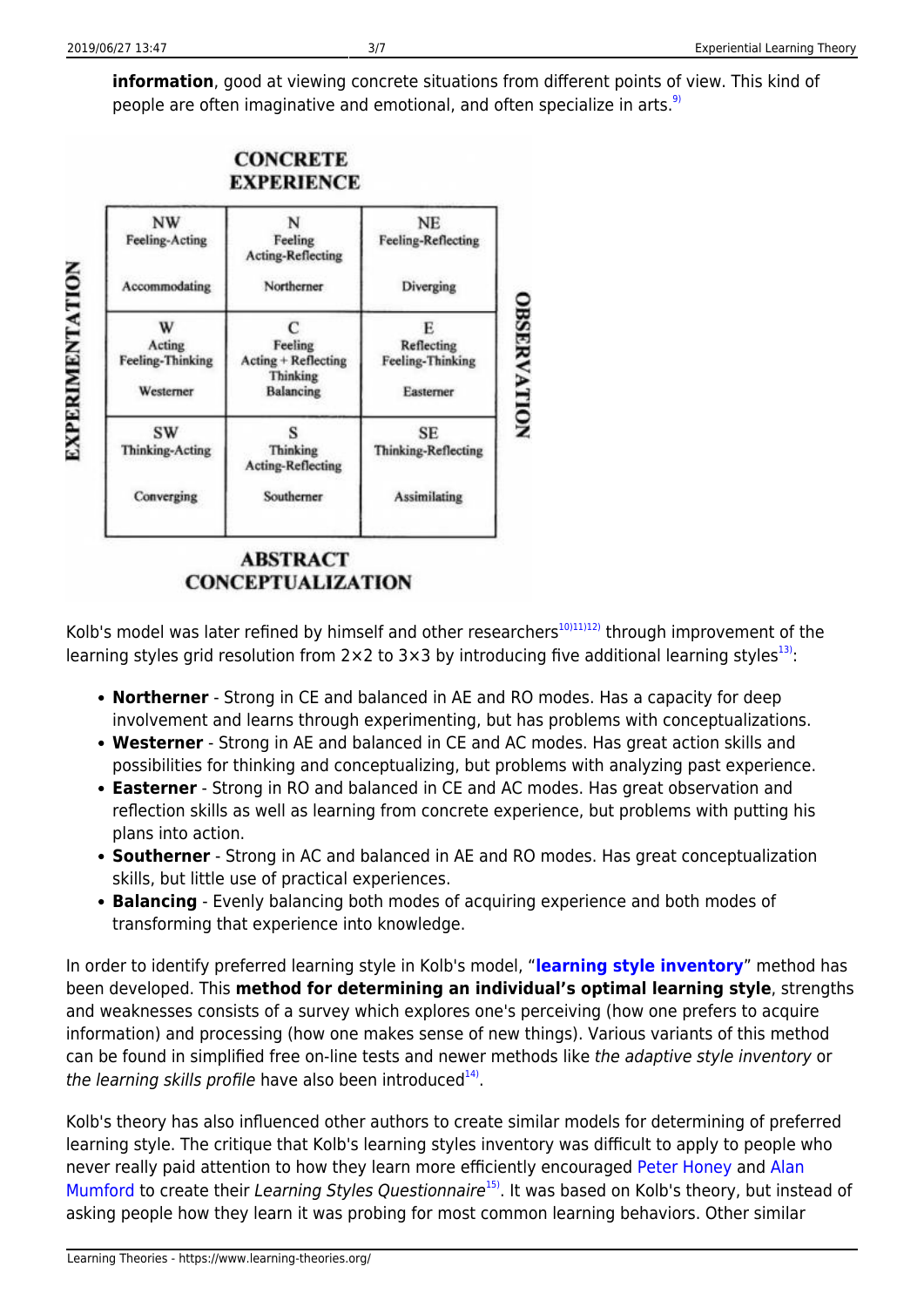**EXPERIMENTATION** 

**information**, good at viewing concrete situations from different points of view. This kind of people are often imaginative and emotional, and often specialize in arts.<sup>[9\)](#page--1-0)</sup>



**ABSTRACT CONCEPTUALIZATION** 

Kolb's model was later refined by himself and other researchers<sup>[10\)11\)12\)](#page--1-0)</sup> through improvement of the learning styles grid resolution from  $2 \times 2$  to  $3 \times 3$  by introducing five additional learning styles<sup>[13\)](#page--1-0)</sup>:

- **Northerner** Strong in CE and balanced in AE and RO modes. Has a capacity for deep involvement and learns through experimenting, but has problems with conceptualizations.
- **Westerner** Strong in AE and balanced in CE and AC modes. Has great action skills and possibilities for thinking and conceptualizing, but problems with analyzing past experience.
- **Easterner** Strong in RO and balanced in CE and AC modes. Has great observation and reflection skills as well as learning from concrete experience, but problems with putting his plans into action.
- **Southerner** Strong in AC and balanced in AE and RO modes. Has great conceptualization skills, but little use of practical experiences.
- **Balancing** Evenly balancing both modes of acquiring experience and both modes of transforming that experience into knowledge.

In order to identify preferred learning style in Kolb's model, "**[learning style inventory](http://www.haygroup.com/au/services/index.aspx?ID=14323)**" method has been developed. This **method for determining an individual's optimal learning style**, strengths and weaknesses consists of a survey which explores one's perceiving (how one prefers to acquire information) and processing (how one makes sense of new things). Various variants of this method can be found in simplified free on-line tests and newer methods like the adaptive style inventory or the learning skills profile have also been introduced<sup>[14\)](#page--1-0)</sup>.

Kolb's theory has also influenced other authors to create similar models for determining of preferred learning style. The critique that Kolb's learning styles inventory was difficult to apply to people who never really paid attention to how they learn more efficiently encouraged [Peter Honey](http://peterhoney.org/) and [Alan](http://www.spoke.com/info/p6KOsS0/AlanMumford) [Mumford](http://www.spoke.com/info/p6KOsS0/AlanMumford) to create their Learning Styles Questionnaire<sup>[15\)](#page--1-0)</sup>. It was based on Kolb's theory, but instead of asking people how they learn it was probing for most common learning behaviors. Other similar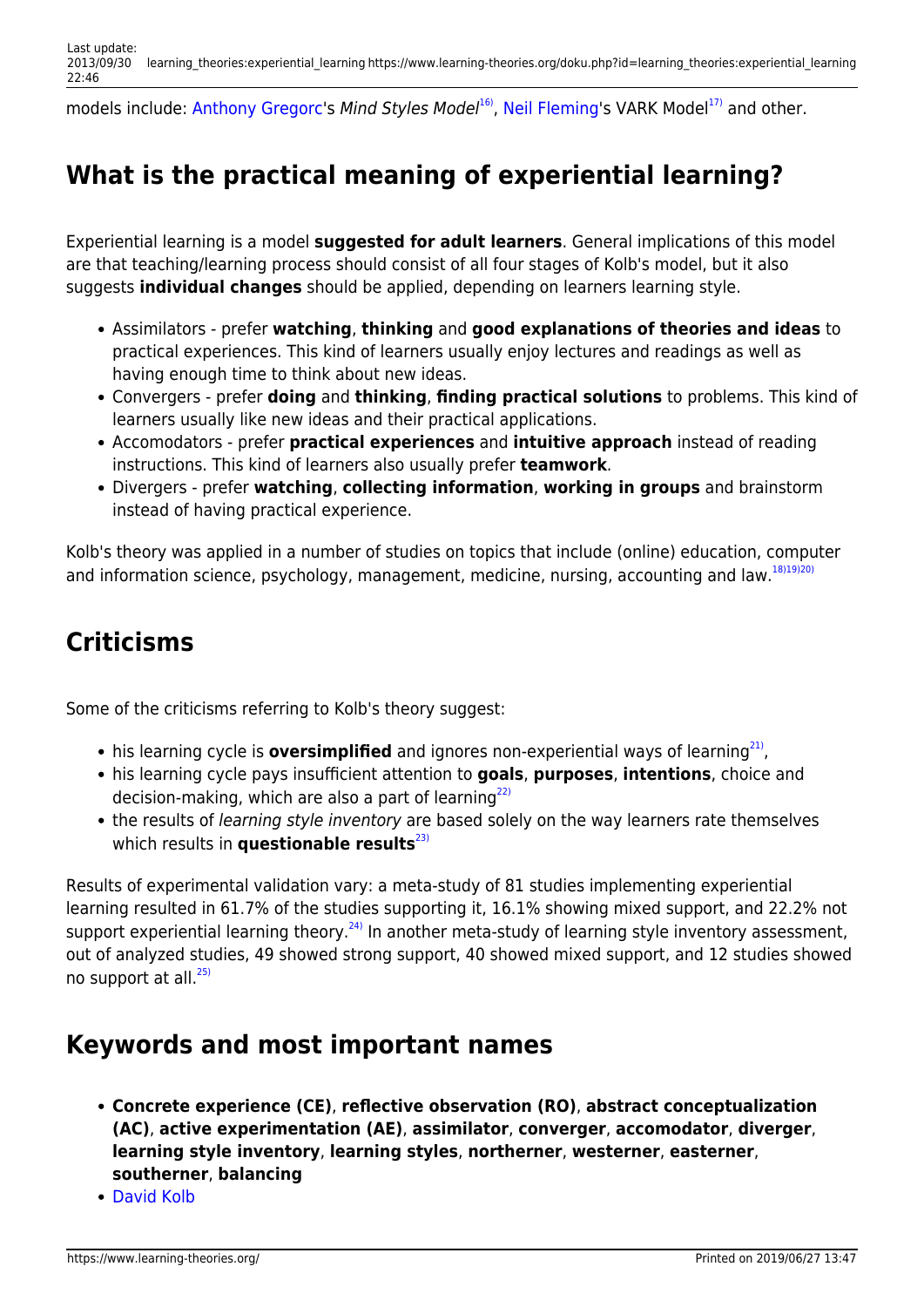models include: [Anthony Gregorc](http://web.cortland.edu/andersmd/learning/Gregorc.htm)'s Mind Styles Model<sup>16</sup>, [Neil Fleming](http://www.vark-learn.com/english/page.asp?p=biography)'s VARK Model<sup>[17\)](#page--1-0)</sup> and other.

# **What is the practical meaning of experiential learning?**

Experiential learning is a model **suggested for adult learners**. General implications of this model are that teaching/learning process should consist of all four stages of Kolb's model, but it also suggests **individual changes** should be applied, depending on learners learning style.

- Assimilators prefer **watching**, **thinking** and **good explanations of theories and ideas** to practical experiences. This kind of learners usually enjoy lectures and readings as well as having enough time to think about new ideas.
- Convergers prefer **doing** and **thinking**, **finding practical solutions** to problems. This kind of learners usually like new ideas and their practical applications.
- Accomodators prefer **practical experiences** and **intuitive approach** instead of reading instructions. This kind of learners also usually prefer **teamwork**.
- Divergers prefer **watching**, **collecting information**, **working in groups** and brainstorm instead of having practical experience.

Kolb's theory was applied in a number of studies on topics that include (online) education, computer and information science, psychology, management, medicine, nursing, accounting and law.<sup>[18\)19\)20\)](#page--1-0)</sup>

## **Criticisms**

Some of the criticisms referring to Kolb's theory suggest:

- his learning cycle is **oversimplified** and ignores non-experiential ways of learning<sup>[21\)](#page--1-0)</sup>,
- his learning cycle pays insufficient attention to **goals**, **purposes**, **intentions**, choice and decision-making, which are also a part of learning $^{22}$
- the results of learning style inventory are based solely on the way learners rate themselves which results in **questionable results**<sup>[23\)](#page--1-0)</sup>

Results of experimental validation vary: a meta-study of 81 studies implementing experiential learning resulted in 61.7% of the studies supporting it, 16.1% showing mixed support, and 22.2% not support experiential learning theory.<sup>[24\)](#page--1-0)</sup> In another meta-study of learning style inventory assessment, out of analyzed studies, 49 showed strong support, 40 showed mixed support, and 12 studies showed no support at all. $^{25)}$  $^{25)}$  $^{25)}$ 

#### **Keywords and most important names**

- **Concrete experience (CE)**, **reflective observation (RO)**, **abstract conceptualization (AC)**, **active experimentation (AE)**, **assimilator**, **converger**, **accomodator**, **diverger**, **learning style inventory**, **learning styles**, **northerner**, **westerner**, **easterner**, **southerner**, **balancing**
- [David Kolb](http://infed.org/mobi/david-a-kolb-on-experiential-learning/)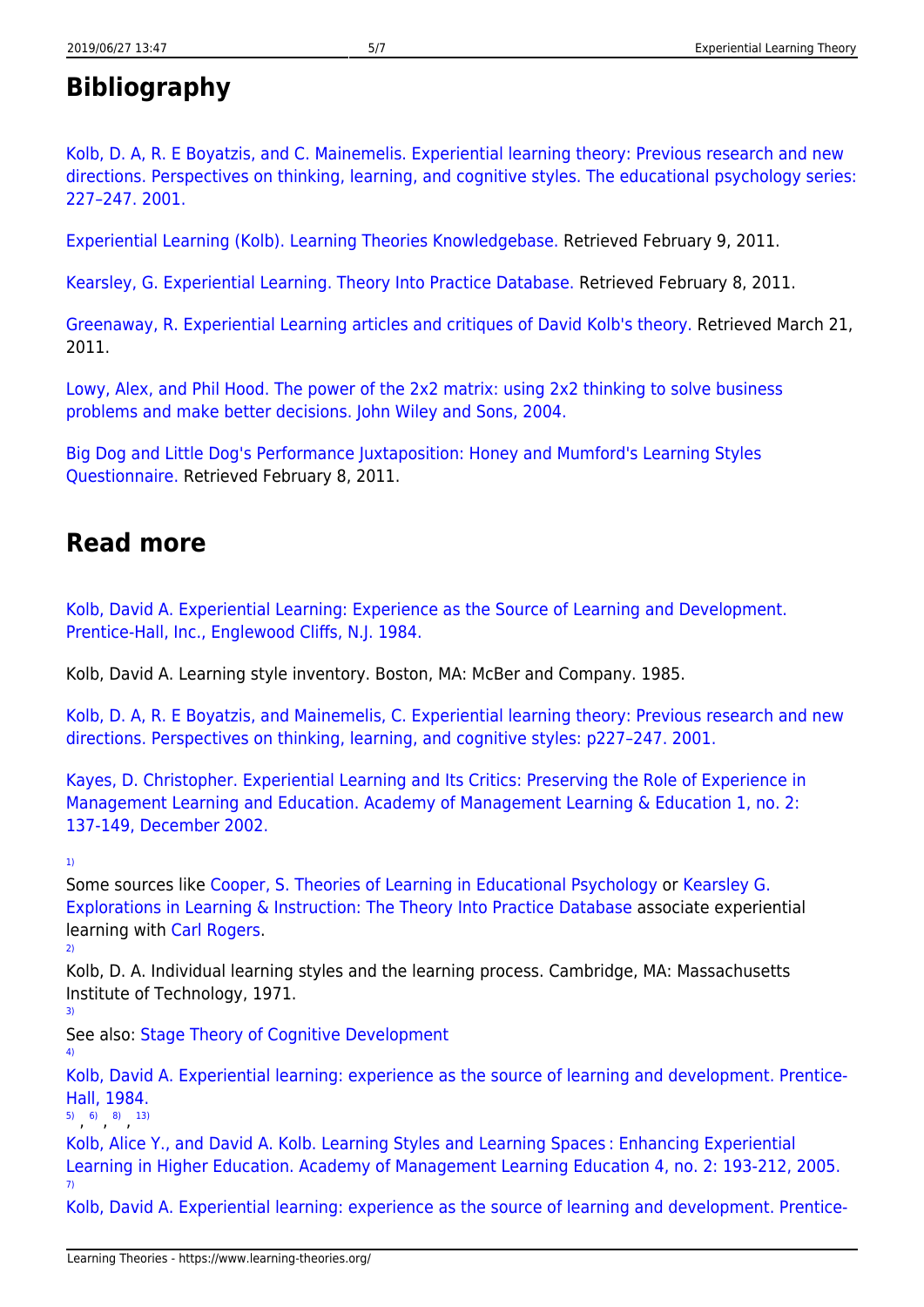### **Bibliography**

[Kolb, D. A, R. E Boyatzis, and C. Mainemelis. Experiential learning theory: Previous research and new](http://www.d.umn.edu/~kgilbert/educ5165-731/Readings/experiential-learning-theory.pdf) [directions. Perspectives on thinking, learning, and cognitive styles. The educational psychology series:](http://www.d.umn.edu/~kgilbert/educ5165-731/Readings/experiential-learning-theory.pdf) [227–247. 2001.](http://www.d.umn.edu/~kgilbert/educ5165-731/Readings/experiential-learning-theory.pdf)

[Experiential Learning \(Kolb\). Learning Theories Knowledgebase.](http://www.learning-theories.com/experiential-learning-kolb.html) Retrieved February 9, 2011.

[Kearsley, G. Experiential Learning. Theory Into Practice Database.](http://tip.psychology.org/rogers.html) Retrieved February 8, 2011.

[Greenaway, R. Experiential Learning articles and critiques of David Kolb's theory.](http://reviewing.co.uk/research/experiential.learning.htm#axzz1HFPk4RNX) Retrieved March 21, 2011.

[Lowy, Alex, and Phil Hood. The power of the 2x2 matrix: using 2x2 thinking to solve business](http://my.safaribooksonline.com/book/professional-development/9780787972929) [problems and make better decisions. John Wiley and Sons, 2004.](http://my.safaribooksonline.com/book/professional-development/9780787972929)

[Big Dog and Little Dog's Performance Juxtaposition: Honey and Mumford's Learning Styles](http://www.nwlink.com/~donclark/hrd/styles/honey_mumford.html) [Questionnaire.](http://www.nwlink.com/~donclark/hrd/styles/honey_mumford.html) Retrieved February 8, 2011.

#### **Read more**

[Kolb, David A. Experiential Learning: Experience as the Source of Learning and Development.](http://www.amazon.co.uk/Experiential-Learning-Experience-Source-Development/dp/0132952610#reader_0132952610) [Prentice-Hall, Inc., Englewood Cliffs, N.J. 1984.](http://www.amazon.co.uk/Experiential-Learning-Experience-Source-Development/dp/0132952610#reader_0132952610)

Kolb, David A. Learning style inventory. Boston, MA: McBer and Company. 1985.

[Kolb, D. A, R. E Boyatzis, and Mainemelis, C. Experiential learning theory: Previous research and new](http://www.d.umn.edu/~kgilbert/educ5165-731/Readings/experiential-learning-theory.pdf) [directions. Perspectives on thinking, learning, and cognitive styles: p227–247. 2001.](http://www.d.umn.edu/~kgilbert/educ5165-731/Readings/experiential-learning-theory.pdf)

[Kayes, D. Christopher. Experiential Learning and Its Critics: Preserving the Role of Experience in](http://learningfromexperience.com/research-library/experiential-learning-and-its-critics/) [Management Learning and Education. Academy of Management Learning & Education 1, no. 2:](http://learningfromexperience.com/research-library/experiential-learning-and-its-critics/) [137-149, December 2002.](http://learningfromexperience.com/research-library/experiential-learning-and-its-critics/)

[1\)](#page--1-0)

Some sources like [Cooper, S. Theories of Learning in Educational Psychology](http://www.lifecircles-inc.com/Learningtheories/learningmap.html) or [Kearsley G.](http://tip.psychology.org/) [Explorations in Learning & Instruction: The Theory Into Practice Database](http://tip.psychology.org/) associate experiential learning with [Carl Rogers.](http://www.nrogers.com/carlrogersbio.html) [2\)](#page--1-0)

Kolb, D. A. Individual learning styles and the learning process. Cambridge, MA: Massachusetts Institute of Technology, 1971.

[3\)](#page--1-0)

[4\)](#page--1-0)

See also: [Stage Theory of Cognitive Development](https://www.learning-theories.org/doku.php?id=learning_theories:stage_theory_of_cognitive_development)

[Kolb, David A. Experiential learning: experience as the source of learning and development. Prentice-](http://www.google.hr/url?sa=t&source=web&cd=1&ved=0CBYQFjAA&url=http%3A%2F%2Facademic.regis.edu%2Fed205%2FKolb.pdf&rct=j&q=kolb84%20Kolb%20Experiential%20learning.pdf&ei=24NKTsCeMsee-wb_xI2cCQ&usg=AFQjCNGdXkEjcY7T1FMOw2SMAxS4Goz96w&cad=rja)[Hall, 1984.](http://www.google.hr/url?sa=t&source=web&cd=1&ved=0CBYQFjAA&url=http%3A%2F%2Facademic.regis.edu%2Fed205%2FKolb.pdf&rct=j&q=kolb84%20Kolb%20Experiential%20learning.pdf&ei=24NKTsCeMsee-wb_xI2cCQ&usg=AFQjCNGdXkEjcY7T1FMOw2SMAxS4Goz96w&cad=rja)

[5\)](#page--1-0) [6\)](#page--1-0) [8\)](#page--1-0) [13\)](#page--1-0)<br> *(* 

[Kolb, Alice Y., and David A. Kolb. Learning Styles and Learning Spaces : Enhancing Experiential](http://citeseerx.ist.psu.edu/viewdoc/download?doi=10.1.1.127.6489&rep=rep1&type=pdf) [Learning in Higher Education. Academy of Management Learning Education 4, no. 2: 193-212, 2005.](http://citeseerx.ist.psu.edu/viewdoc/download?doi=10.1.1.127.6489&rep=rep1&type=pdf) [7\)](#page--1-0)

[Kolb, David A. Experiential learning: experience as the source of learning and development. Prentice-](http://www.google.hr/url?sa=t&source=web&cd=1&ved=0CBYQFjAA&url=http%3A%2F%2Facademic.regis.edu%2Fed205%2FKolb.pdf&rct=j&q=kolb84%20Kolb%20Experiential%20learning.pdf&ei=24NKTsCeMsee-wb_xI2cCQ&usg=AFQjCNGdXkEjcY7T1FMOw2SMAxS4Goz96w&cad=rja])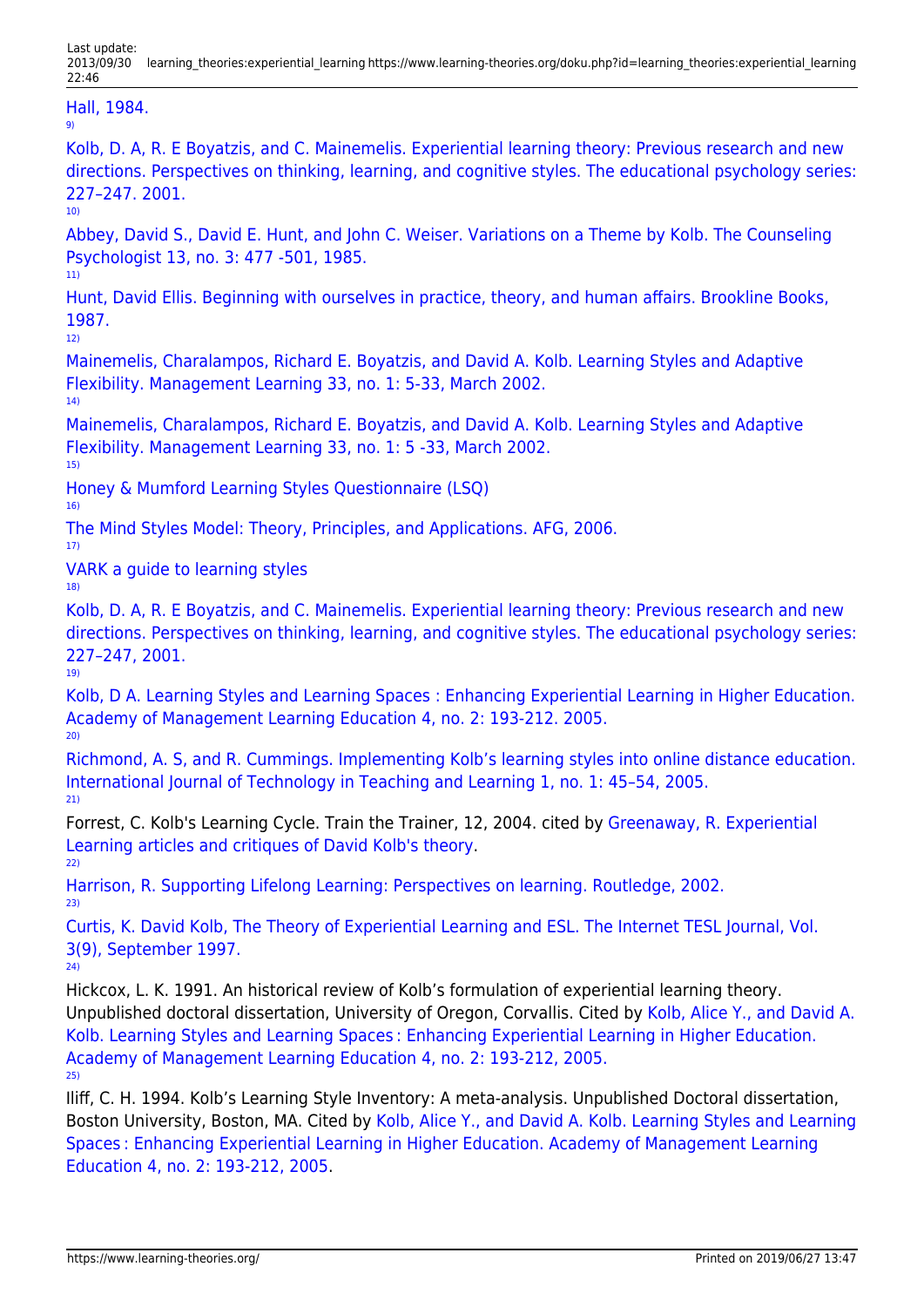[Hall, 1984.](http://www.google.hr/url?sa=t&source=web&cd=1&ved=0CBYQFjAA&url=http%3A%2F%2Facademic.regis.edu%2Fed205%2FKolb.pdf&rct=j&q=kolb84%20Kolb%20Experiential%20learning.pdf&ei=24NKTsCeMsee-wb_xI2cCQ&usg=AFQjCNGdXkEjcY7T1FMOw2SMAxS4Goz96w&cad=rja]) [9\)](#page--1-0)

[Kolb, D. A, R. E Boyatzis, and C. Mainemelis. Experiential learning theory: Previous research and new](http://www.d.umn.edu/~kgilbert/educ5165-731/Readings/experiential-learning-theory.pdf) [directions. Perspectives on thinking, learning, and cognitive styles. The educational psychology series:](http://www.d.umn.edu/~kgilbert/educ5165-731/Readings/experiential-learning-theory.pdf) [227–247. 2001.](http://www.d.umn.edu/~kgilbert/educ5165-731/Readings/experiential-learning-theory.pdf) [10\)](#page--1-0)

[Abbey, David S., David E. Hunt, and John C. Weiser. Variations on a Theme by Kolb. The Counseling](http://tcp.sagepub.com/content/13/3/477.abstract) [Psychologist 13, no. 3: 477 -501, 1985.](http://tcp.sagepub.com/content/13/3/477.abstract)

[Hunt, David Ellis. Beginning with ourselves in practice, theory, and human affairs. Brookline Books,](http://books.google.hr/books?id=FqZ9AAAAMAAJ) [1987.](http://books.google.hr/books?id=FqZ9AAAAMAAJ)

[12\)](#page--1-0)

[11\)](#page--1-0)

[Mainemelis, Charalampos, Richard E. Boyatzis, and David A. Kolb. Learning Styles and Adaptive](http://www.google.hr/url?sa=t&source=web&cd=3&ved=0CDEQFjAC&url=http%3A%2F%2Flearningfromexperience.com%2Fmedia%2F2010%2F08%2FAdaptive-flexibility-2000.pdf&rct=j&q=Learning%20styles%20and%20adaptive%20flexibility&ei=wJJLTsipB4ee-QbUgoT3CA&usg=AFQjCNEtw0y7d9xEjMbQGRCJW4B0K7Kycg&cad=rja) [Flexibility. Management Learning 33, no. 1: 5-33, March 2002.](http://www.google.hr/url?sa=t&source=web&cd=3&ved=0CDEQFjAC&url=http%3A%2F%2Flearningfromexperience.com%2Fmedia%2F2010%2F08%2FAdaptive-flexibility-2000.pdf&rct=j&q=Learning%20styles%20and%20adaptive%20flexibility&ei=wJJLTsipB4ee-QbUgoT3CA&usg=AFQjCNEtw0y7d9xEjMbQGRCJW4B0K7Kycg&cad=rja) [14\)](#page--1-0)

[Mainemelis, Charalampos, Richard E. Boyatzis, and David A. Kolb. Learning Styles and Adaptive](http://www.google.hr/url?sa=t&source=web&cd=3&ved=0CDEQFjAC&url=http%3A%2F%2Flearningfromexperience.com%2Fmedia%2F2010%2F08%2FAdaptive-flexibility-2000.pdf&rct=j&q=Learning%20styles%20and%20adaptive%20flexibility&ei=wJJLTsipB4ee-QbUgoT3CA&usg=AFQjCNEtw0y7d9xEjMbQGRCJW4B0K7Kycg&cad=rja) [Flexibility. Management Learning 33, no. 1: 5 -33, March 2002.](http://www.google.hr/url?sa=t&source=web&cd=3&ved=0CDEQFjAC&url=http%3A%2F%2Flearningfromexperience.com%2Fmedia%2F2010%2F08%2FAdaptive-flexibility-2000.pdf&rct=j&q=Learning%20styles%20and%20adaptive%20flexibility&ei=wJJLTsipB4ee-QbUgoT3CA&usg=AFQjCNEtw0y7d9xEjMbQGRCJW4B0K7Kycg&cad=rja)

[15\)](#page--1-0)

[Honey & Mumford Learning Styles Questionnaire \(LSQ\)](http://www.peterhoney.com)

[16\)](#page--1-0)

[The Mind Styles Model: Theory, Principles, and Applications. AFG, 2006.](http://www.amazon.com/Mind-Styles-Model-Principles-Applications/dp/B000N5LRJA)

[17\)](#page--1-0) [VARK a guide to learning styles](http://www.vark-learn.com/english/index.asp)

[18\)](#page--1-0)

[Kolb, D. A, R. E Boyatzis, and C. Mainemelis. Experiential learning theory: Previous research and new](http://www.d.umn.edu/~kgilbert/educ5165-731/Readings/experiential-learning-theory.pdf) [directions. Perspectives on thinking, learning, and cognitive styles. The educational psychology series:](http://www.d.umn.edu/~kgilbert/educ5165-731/Readings/experiential-learning-theory.pdf) [227–247, 2001.](http://www.d.umn.edu/~kgilbert/educ5165-731/Readings/experiential-learning-theory.pdf) [19\)](#page--1-0)

[Kolb, D A. Learning Styles and Learning Spaces : Enhancing Experiential Learning in Higher Education.](http://citeseerx.ist.psu.edu/viewdoc/download?doi=10.1.1.127.6489&rep=rep1&type=pdf) [Academy of Management Learning Education 4, no. 2: 193-212. 2005.](http://citeseerx.ist.psu.edu/viewdoc/download?doi=10.1.1.127.6489&rep=rep1&type=pdf) [20\)](#page--1-0)

[Richmond, A. S, and R. Cummings. Implementing Kolb's learning styles into online distance education.](http://www.sicet.org/journals/ijttl/issue0501/Richmond.Vol1.Iss1.pp45-54.pdf) [International Journal of Technology in Teaching and Learning 1, no. 1: 45–54, 2005.](http://www.sicet.org/journals/ijttl/issue0501/Richmond.Vol1.Iss1.pp45-54.pdf) [21\)](#page--1-0)

Forrest, C. Kolb's Learning Cycle. Train the Trainer, 12, 2004. cited by [Greenaway, R. Experiential](http://reviewing.co.uk/research/experiential.learning.htm#2#ixzz1HFOLReyw) [Learning articles and critiques of David Kolb's theory](http://reviewing.co.uk/research/experiential.learning.htm#2#ixzz1HFOLReyw).  $22)$ 

[Harrison, R. Supporting Lifelong Learning: Perspectives on learning. Routledge, 2002.](http://books.google.com/books?id=M3zsc-MJaSwC) [23\)](#page--1-0)

[Curtis, K. David Kolb, The Theory of Experiential Learning and ESL. The Internet TESL Journal, Vol.](http://iteslj.org/Articles/Kelly-Experiential/) [3\(9\), September 1997.](http://iteslj.org/Articles/Kelly-Experiential/)

[24\)](#page--1-0)

Hickcox, L. K. 1991. An historical review of Kolb's formulation of experiential learning theory. Unpublished doctoral dissertation, University of Oregon, Corvallis. Cited by [Kolb, Alice Y., and David A.](http://citeseerx.ist.psu.edu/viewdoc/download?doi=10.1.1.127.6489&rep=rep1&type=pdf) [Kolb. Learning Styles and Learning Spaces : Enhancing Experiential Learning in Higher Education.](http://citeseerx.ist.psu.edu/viewdoc/download?doi=10.1.1.127.6489&rep=rep1&type=pdf) [Academy of Management Learning Education 4, no. 2: 193-212, 2005.](http://citeseerx.ist.psu.edu/viewdoc/download?doi=10.1.1.127.6489&rep=rep1&type=pdf) [25\)](#page--1-0)

Iliff, C. H. 1994. Kolb's Learning Style Inventory: A meta-analysis. Unpublished Doctoral dissertation, Boston University, Boston, MA. Cited by [Kolb, Alice Y., and David A. Kolb. Learning Styles and Learning](http://citeseerx.ist.psu.edu/viewdoc/download?doi=10.1.1.127.6489&rep=rep1&type=pdf) [Spaces : Enhancing Experiential Learning in Higher Education. Academy of Management Learning](http://citeseerx.ist.psu.edu/viewdoc/download?doi=10.1.1.127.6489&rep=rep1&type=pdf) [Education 4, no. 2: 193-212, 2005.](http://citeseerx.ist.psu.edu/viewdoc/download?doi=10.1.1.127.6489&rep=rep1&type=pdf)